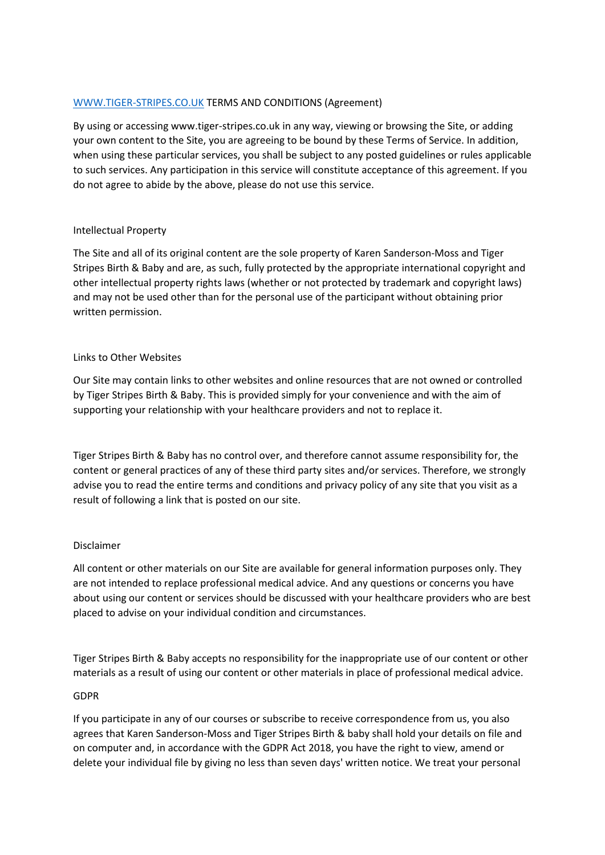# [WWW.TIGER-STRIPES.CO.UK](http://www.tiger-stripes.co.uk/) TERMS AND CONDITIONS (Agreement)

By using or accessing www.tiger-stripes.co.uk in any way, viewing or browsing the Site, or adding your own content to the Site, you are agreeing to be bound by these Terms of Service. In addition, when using these particular services, you shall be subject to any posted guidelines or rules applicable to such services. Any participation in this service will constitute acceptance of this agreement. If you do not agree to abide by the above, please do not use this service.

#### Intellectual Property

The Site and all of its original content are the sole property of Karen Sanderson-Moss and Tiger Stripes Birth & Baby and are, as such, fully protected by the appropriate international copyright and other intellectual property rights laws (whether or not protected by trademark and copyright laws) and may not be used other than for the personal use of the participant without obtaining prior written permission.

### Links to Other Websites

Our Site may contain links to other websites and online resources that are not owned or controlled by Tiger Stripes Birth & Baby. This is provided simply for your convenience and with the aim of supporting your relationship with your healthcare providers and not to replace it.

Tiger Stripes Birth & Baby has no control over, and therefore cannot assume responsibility for, the content or general practices of any of these third party sites and/or services. Therefore, we strongly advise you to read the entire terms and conditions and privacy policy of any site that you visit as a result of following a link that is posted on our site.

# Disclaimer

All content or other materials on our Site are available for general information purposes only. They are not intended to replace professional medical advice. And any questions or concerns you have about using our content or services should be discussed with your healthcare providers who are best placed to advise on your individual condition and circumstances.

Tiger Stripes Birth & Baby accepts no responsibility for the inappropriate use of our content or other materials as a result of using our content or other materials in place of professional medical advice.

#### GDPR

If you participate in any of our courses or subscribe to receive correspondence from us, you also agrees that Karen Sanderson-Moss and Tiger Stripes Birth & baby shall hold your details on file and on computer and, in accordance with the GDPR Act 2018, you have the right to view, amend or delete your individual file by giving no less than seven days' written notice. We treat your personal